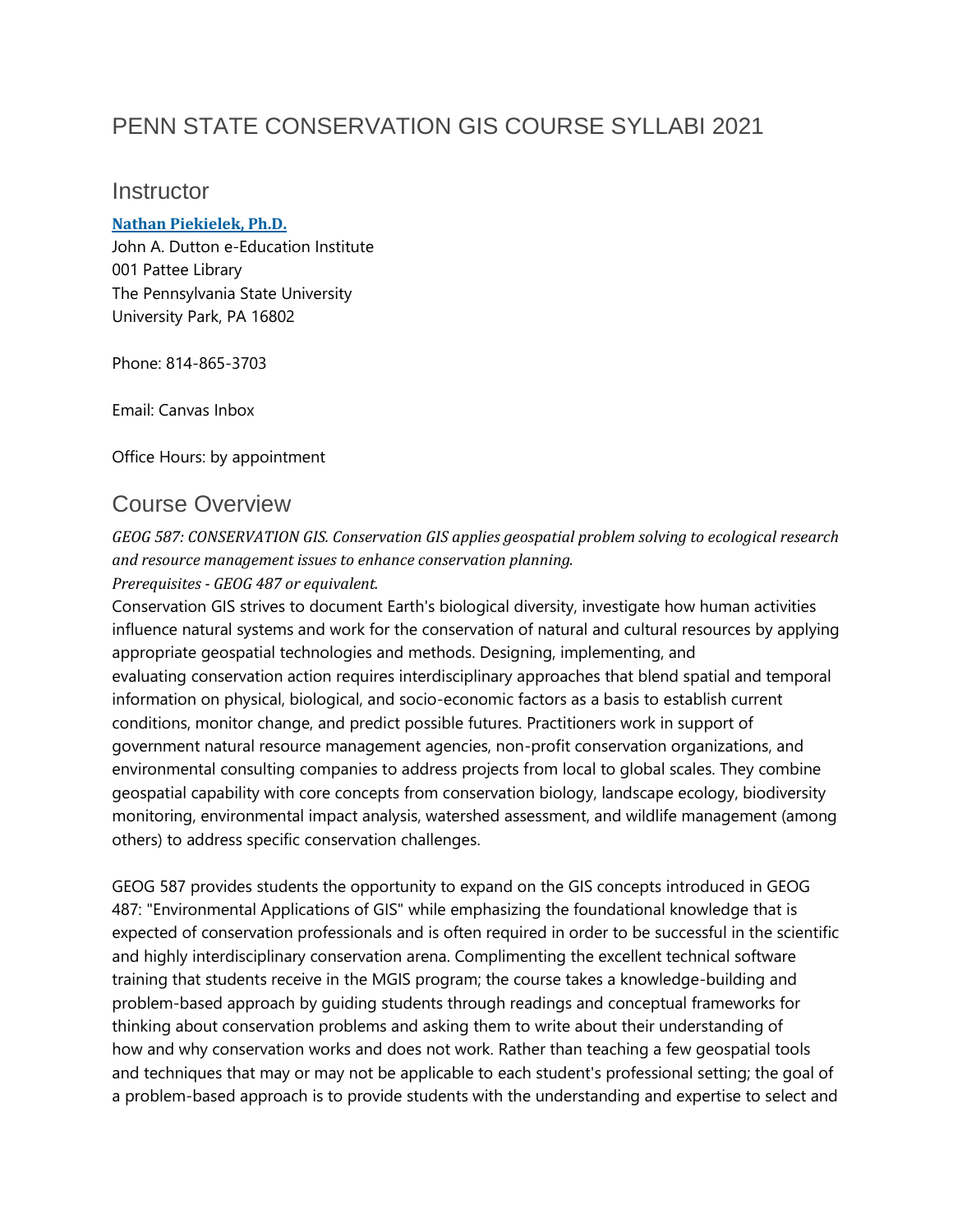## PENN STATE CONSERVATION GIS COURSE SYLLABI 2021

#### **Instructor**

#### **Nathan [Piekielek,](https://www.e-education.psu.edu/geog587/node/2057) Ph.D.**

John A. Dutton e-Education Institute 001 Pattee Library The Pennsylvania State University University Park, PA 16802

Phone: 814-865-3703

Email: Canvas Inbox

Office Hours: by appointment

### Course Overview

*GEOG 587: CONSERVATION GIS. Conservation GIS applies geospatial problem solving to ecological research and resource management issues to enhance conservation planning. Prerequisites - GEOG 487 or equivalent.*

Conservation GIS strives to document Earth's biological diversity, investigate how human activities influence natural systems and work for the conservation of natural and cultural resources by applying appropriate geospatial technologies and methods. Designing, implementing, and evaluating conservation action requires interdisciplinary approaches that blend spatial and temporal information on physical, biological, and socio-economic factors as a basis to establish current conditions, monitor change, and predict possible futures. Practitioners work in support of government natural resource management agencies, non-profit conservation organizations, and environmental consulting companies to address projects from local to global scales. They combine geospatial capability with core concepts from conservation biology, landscape ecology, biodiversity monitoring, environmental impact analysis, watershed assessment, and wildlife management (among others) to address specific conservation challenges.

GEOG 587 provides students the opportunity to expand on the GIS concepts introduced in GEOG 487: "Environmental Applications of GIS" while emphasizing the foundational knowledge that is expected of conservation professionals and is often required in order to be successful in the scientific and highly interdisciplinary conservation arena. Complimenting the excellent technical software training that students receive in the MGIS program; the course takes a knowledge-building and problem-based approach by guiding students through readings and conceptual frameworks for thinking about conservation problems and asking them to write about their understanding of how and why conservation works and does not work. Rather than teaching a few geospatial tools and techniques that may or may not be applicable to each student's professional setting; the goal of a problem-based approach is to provide students with the understanding and expertise to select and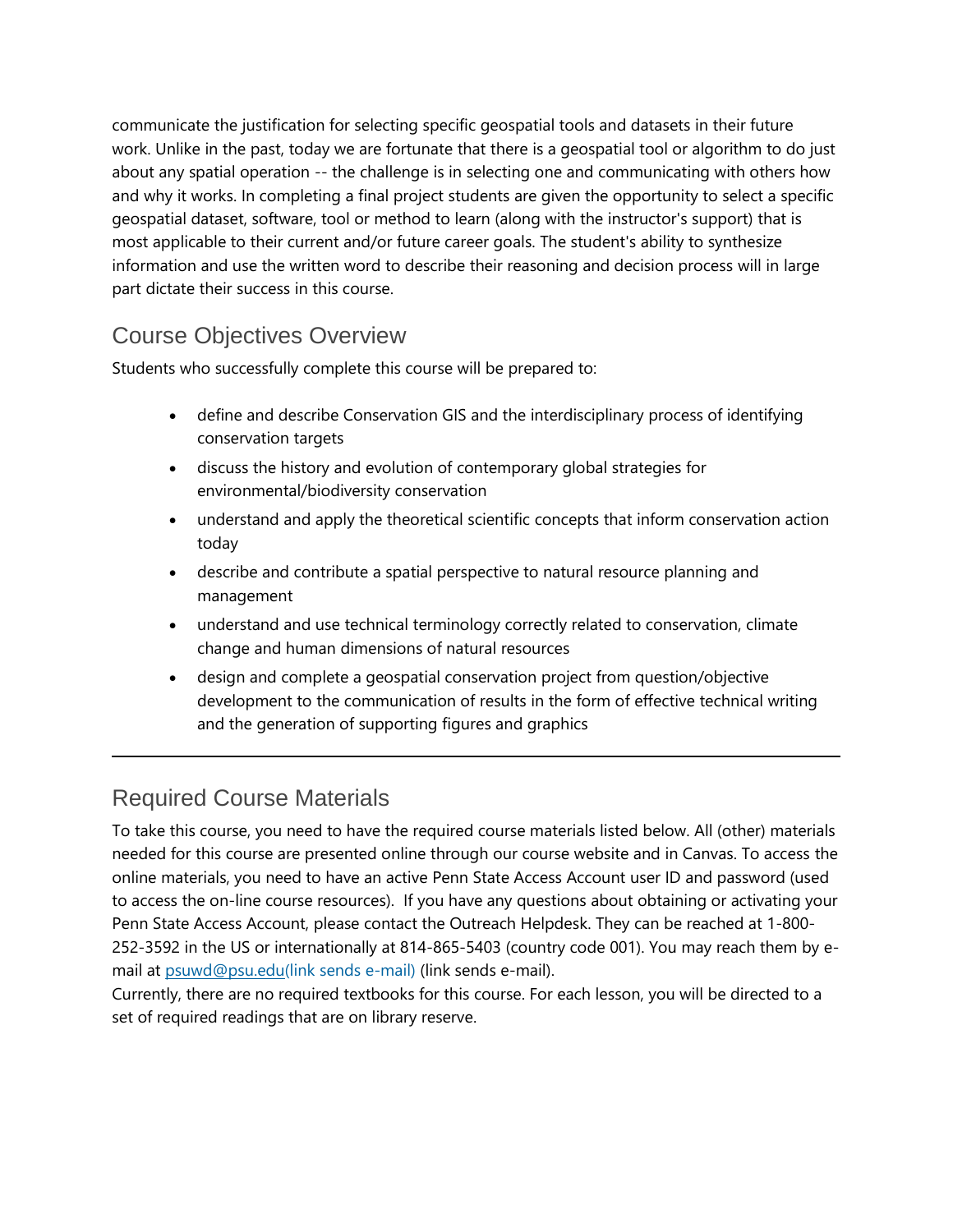communicate the justification for selecting specific geospatial tools and datasets in their future work. Unlike in the past, today we are fortunate that there is a geospatial tool or algorithm to do just about any spatial operation -- the challenge is in selecting one and communicating with others how and why it works. In completing a final project students are given the opportunity to select a specific geospatial dataset, software, tool or method to learn (along with the instructor's support) that is most applicable to their current and/or future career goals. The student's ability to synthesize information and use the written word to describe their reasoning and decision process will in large part dictate their success in this course.

### Course Objectives Overview

Students who successfully complete this course will be prepared to:

- define and describe Conservation GIS and the interdisciplinary process of identifying conservation targets
- discuss the history and evolution of contemporary global strategies for environmental/biodiversity conservation
- understand and apply the theoretical scientific concepts that inform conservation action today
- describe and contribute a spatial perspective to natural resource planning and management
- understand and use technical terminology correctly related to conservation, climate change and human dimensions of natural resources
- design and complete a geospatial conservation project from question/objective development to the communication of results in the form of effective technical writing and the generation of supporting figures and graphics

# Required Course Materials

To take this course, you need to have the required course materials listed below. All (other) materials needed for this course are presented online through our course website and in Canvas. To access the online materials, you need to have an active Penn State Access Account user ID and password (used to access the on-line course resources). If you have any questions about obtaining or activating your Penn State Access Account, please contact the Outreach Helpdesk. They can be reached at 1-800- 252-3592 in the US or internationally at 814-865-5403 (country code 001). You may reach them by email at [psuwd@psu.edu\(link](mailto:psuwd@psu.edu) sends e-mail) (link sends e-mail).

Currently, there are no required textbooks for this course. For each lesson, you will be directed to a set of required readings that are on library reserve.